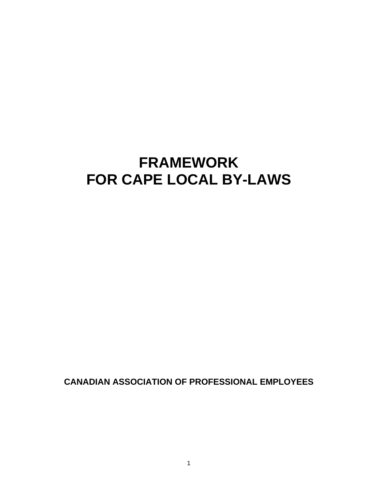# **FRAMEWORK FOR CAPE LOCAL BY-LAWS**

**CANADIAN ASSOCIATION OF PROFESSIONAL EMPLOYEES**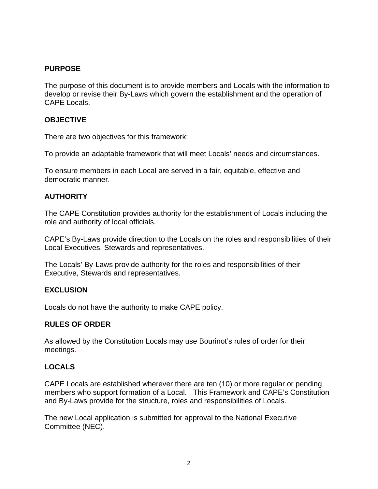## **PURPOSE**

The purpose of this document is to provide members and Locals with the information to develop or revise their By-Laws which govern the establishment and the operation of CAPE Locals.

## **OBJECTIVE**

There are two objectives for this framework:

To provide an adaptable framework that will meet Locals' needs and circumstances.

To ensure members in each Local are served in a fair, equitable, effective and democratic manner.

## **AUTHORITY**

The CAPE Constitution provides authority for the establishment of Locals including the role and authority of local officials.

CAPE's By-Laws provide direction to the Locals on the roles and responsibilities of their Local Executives, Stewards and representatives.

The Locals' By-Laws provide authority for the roles and responsibilities of their Executive, Stewards and representatives.

## **EXCLUSION**

Locals do not have the authority to make CAPE policy.

## **RULES OF ORDER**

As allowed by the Constitution Locals may use Bourinot's rules of order for their meetings.

## **LOCALS**

CAPE Locals are established wherever there are ten (10) or more regular or pending members who support formation of a Local. This Framework and CAPE's Constitution and By-Laws provide for the structure, roles and responsibilities of Locals.

The new Local application is submitted for approval to the National Executive Committee (NEC).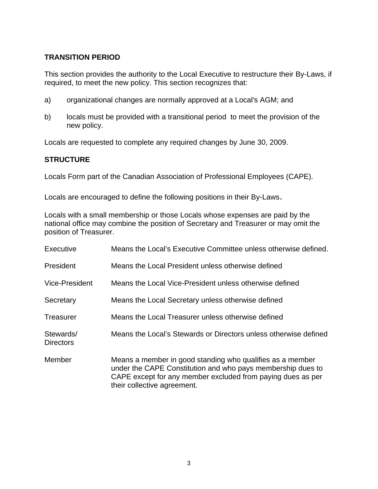# **TRANSITION PERIOD**

This section provides the authority to the Local Executive to restructure their By-Laws, if required, to meet the new policy. This section recognizes that:

- a) organizational changes are normally approved at a Local's AGM; and
- b) locals must be provided with a transitional period to meet the provision of the new policy.

Locals are requested to complete any required changes by June 30, 2009.

## **STRUCTURE**

Locals Form part of the Canadian Association of Professional Employees (CAPE).

Locals are encouraged to define the following positions in their By-Laws.

Locals with a small membership or those Locals whose expenses are paid by the national office may combine the position of Secretary and Treasurer or may omit the position of Treasurer.

| Executive                     | Means the Local's Executive Committee unless otherwise defined.                                                                                                                                                        |
|-------------------------------|------------------------------------------------------------------------------------------------------------------------------------------------------------------------------------------------------------------------|
| President                     | Means the Local President unless otherwise defined                                                                                                                                                                     |
| Vice-President                | Means the Local Vice-President unless otherwise defined                                                                                                                                                                |
| Secretary                     | Means the Local Secretary unless otherwise defined                                                                                                                                                                     |
| Treasurer                     | Means the Local Treasurer unless otherwise defined                                                                                                                                                                     |
| Stewards/<br><b>Directors</b> | Means the Local's Stewards or Directors unless otherwise defined                                                                                                                                                       |
| Member                        | Means a member in good standing who qualifies as a member<br>under the CAPE Constitution and who pays membership dues to<br>CAPE except for any member excluded from paying dues as per<br>their collective agreement. |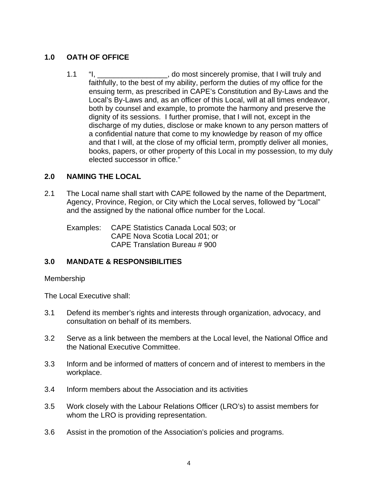# **1.0 OATH OF OFFICE**

1.1 "I, \_\_\_\_\_\_\_\_\_\_\_\_\_\_\_\_\_\_, do most sincerely promise, that I will truly and faithfully, to the best of my ability, perform the duties of my office for the ensuing term, as prescribed in CAPE's Constitution and By-Laws and the Local's By-Laws and, as an officer of this Local, will at all times endeavor, both by counsel and example, to promote the harmony and preserve the dignity of its sessions. I further promise, that I will not, except in the discharge of my duties, disclose or make known to any person matters of a confidential nature that come to my knowledge by reason of my office and that I will, at the close of my official term, promptly deliver all monies, books, papers, or other property of this Local in my possession, to my duly elected successor in office."

# **2.0 NAMING THE LOCAL**

2.1 The Local name shall start with CAPE followed by the name of the Department, Agency, Province, Region, or City which the Local serves, followed by "Local" and the assigned by the national office number for the Local.

Examples: CAPE Statistics Canada Local 503; or CAPE Nova Scotia Local 201; or CAPE Translation Bureau # 900

# **3.0 MANDATE & RESPONSIBILITIES**

## Membership

The Local Executive shall:

- 3.1 Defend its member's rights and interests through organization, advocacy, and consultation on behalf of its members.
- 3.2 Serve as a link between the members at the Local level, the National Office and the National Executive Committee.
- 3.3 Inform and be informed of matters of concern and of interest to members in the workplace.
- 3.4 Inform members about the Association and its activities
- 3.5 Work closely with the Labour Relations Officer (LRO's) to assist members for whom the LRO is providing representation.
- 3.6 Assist in the promotion of the Association's policies and programs.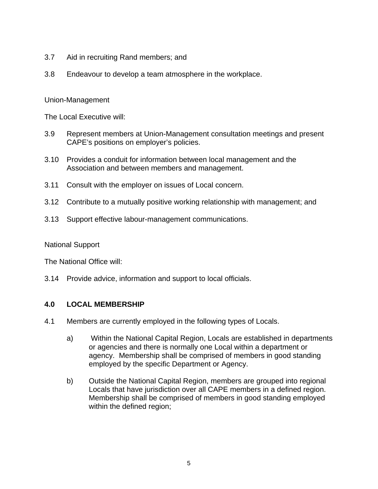- 3.7 Aid in recruiting Rand members; and
- 3.8 Endeavour to develop a team atmosphere in the workplace.

#### Union-Management

The Local Executive will:

- 3.9 Represent members at Union-Management consultation meetings and present CAPE's positions on employer's policies.
- 3.10 Provides a conduit for information between local management and the Association and between members and management.
- 3.11 Consult with the employer on issues of Local concern.
- 3.12 Contribute to a mutually positive working relationship with management; and
- 3.13 Support effective labour-management communications.

National Support

The National Office will:

3.14 Provide advice, information and support to local officials.

#### **4.0 LOCAL MEMBERSHIP**

- 4.1 Members are currently employed in the following types of Locals.
	- a) Within the National Capital Region, Locals are established in departments or agencies and there is normally one Local within a department or agency. Membership shall be comprised of members in good standing employed by the specific Department or Agency.
	- b) Outside the National Capital Region, members are grouped into regional Locals that have jurisdiction over all CAPE members in a defined region. Membership shall be comprised of members in good standing employed within the defined region;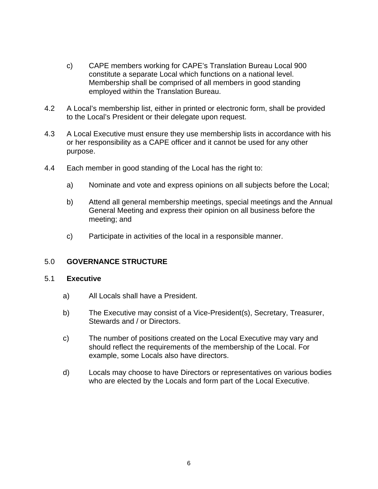- c) CAPE members working for CAPE's Translation Bureau Local 900 constitute a separate Local which functions on a national level. Membership shall be comprised of all members in good standing employed within the Translation Bureau.
- 4.2 A Local's membership list, either in printed or electronic form, shall be provided to the Local's President or their delegate upon request.
- 4.3 A Local Executive must ensure they use membership lists in accordance with his or her responsibility as a CAPE officer and it cannot be used for any other purpose.
- 4.4 Each member in good standing of the Local has the right to:
	- a) Nominate and vote and express opinions on all subjects before the Local;
	- b) Attend all general membership meetings, special meetings and the Annual General Meeting and express their opinion on all business before the meeting; and
	- c) Participate in activities of the local in a responsible manner.

## 5.0 **GOVERNANCE STRUCTURE**

#### 5.1 **Executive**

- a) All Locals shall have a President.
- b) The Executive may consist of a Vice-President(s), Secretary, Treasurer, Stewards and / or Directors.
- c) The number of positions created on the Local Executive may vary and should reflect the requirements of the membership of the Local. For example, some Locals also have directors.
- d) Locals may choose to have Directors or representatives on various bodies who are elected by the Locals and form part of the Local Executive.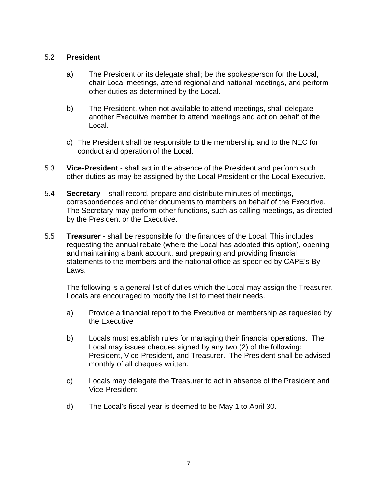## 5.2 **President**

- a) The President or its delegate shall; be the spokesperson for the Local, chair Local meetings, attend regional and national meetings, and perform other duties as determined by the Local.
- b) The President, when not available to attend meetings, shall delegate another Executive member to attend meetings and act on behalf of the Local.
- c) The President shall be responsible to the membership and to the NEC for conduct and operation of the Local.
- 5.3 **Vice-President** shall act in the absence of the President and perform such other duties as may be assigned by the Local President or the Local Executive.
- 5.4 **Secretary** shall record, prepare and distribute minutes of meetings, correspondences and other documents to members on behalf of the Executive. The Secretary may perform other functions, such as calling meetings, as directed by the President or the Executive.
- 5.5 **Treasurer** shall be responsible for the finances of the Local. This includes requesting the annual rebate (where the Local has adopted this option), opening and maintaining a bank account, and preparing and providing financial statements to the members and the national office as specified by CAPE's By-Laws.

 The following is a general list of duties which the Local may assign the Treasurer. Locals are encouraged to modify the list to meet their needs.

- a) Provide a financial report to the Executive or membership as requested by the Executive
- b) Locals must establish rules for managing their financial operations. The Local may issues cheques signed by any two (2) of the following: President, Vice-President, and Treasurer. The President shall be advised monthly of all cheques written.
- c) Locals may delegate the Treasurer to act in absence of the President and Vice-President.
- d) The Local's fiscal year is deemed to be May 1 to April 30.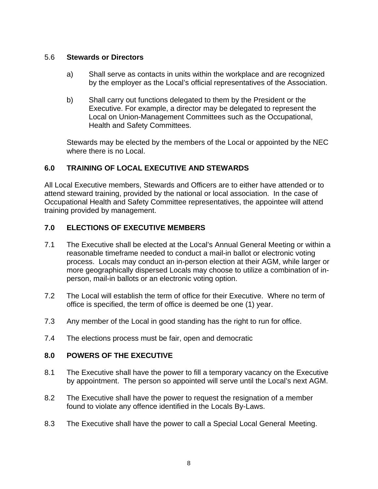#### 5.6 **Stewards or Directors**

- a) Shall serve as contacts in units within the workplace and are recognized by the employer as the Local's official representatives of the Association.
- b) Shall carry out functions delegated to them by the President or the Executive. For example, a director may be delegated to represent the Local on Union-Management Committees such as the Occupational, Health and Safety Committees.

Stewards may be elected by the members of the Local or appointed by the NEC where there is no Local.

# **6.0 TRAINING OF LOCAL EXECUTIVE AND STEWARDS**

All Local Executive members, Stewards and Officers are to either have attended or to attend steward training, provided by the national or local association. In the case of Occupational Health and Safety Committee representatives, the appointee will attend training provided by management.

## **7.0 ELECTIONS OF EXECUTIVE MEMBERS**

- 7.1 The Executive shall be elected at the Local's Annual General Meeting or within a reasonable timeframe needed to conduct a mail-in ballot or electronic voting process. Locals may conduct an in-person election at their AGM, while larger or more geographically dispersed Locals may choose to utilize a combination of inperson, mail-in ballots or an electronic voting option.
- 7.2 The Local will establish the term of office for their Executive. Where no term of office is specified, the term of office is deemed be one (1) year.
- 7.3 Any member of the Local in good standing has the right to run for office.
- 7.4 The elections process must be fair, open and democratic

## **8.0 POWERS OF THE EXECUTIVE**

- 8.1 The Executive shall have the power to fill a temporary vacancy on the Executive by appointment. The person so appointed will serve until the Local's next AGM.
- 8.2 The Executive shall have the power to request the resignation of a member found to violate any offence identified in the Locals By-Laws.
- 8.3 The Executive shall have the power to call a Special Local General Meeting.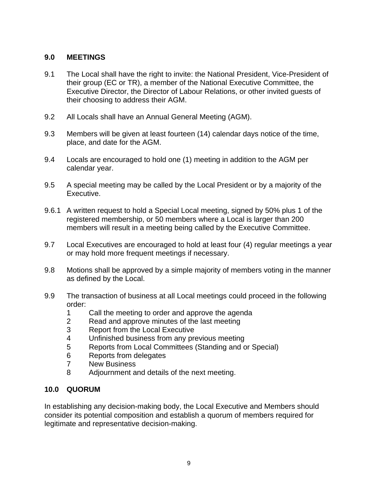## **9.0 MEETINGS**

- 9.1 The Local shall have the right to invite: the National President, Vice-President of their group (EC or TR), a member of the National Executive Committee, the Executive Director, the Director of Labour Relations, or other invited guests of their choosing to address their AGM.
- 9.2 All Locals shall have an Annual General Meeting (AGM).
- 9.3 Members will be given at least fourteen (14) calendar days notice of the time, place, and date for the AGM.
- 9.4 Locals are encouraged to hold one (1) meeting in addition to the AGM per calendar year.
- 9.5 A special meeting may be called by the Local President or by a majority of the Executive.
- 9.6.1 A written request to hold a Special Local meeting, signed by 50% plus 1 of the registered membership, or 50 members where a Local is larger than 200 members will result in a meeting being called by the Executive Committee.
- 9.7 Local Executives are encouraged to hold at least four (4) regular meetings a year or may hold more frequent meetings if necessary.
- 9.8 Motions shall be approved by a simple majority of members voting in the manner as defined by the Local.
- 9.9 The transaction of business at all Local meetings could proceed in the following order:
	- 1 Call the meeting to order and approve the agenda
	- 2 Read and approve minutes of the last meeting
	- 3 Report from the Local Executive
	- 4 Unfinished business from any previous meeting
	- 5 Reports from Local Committees (Standing and or Special)
	- 6 Reports from delegates
	- 7 New Business
	- 8 Adjournment and details of the next meeting.

## **10.0 QUORUM**

In establishing any decision-making body, the Local Executive and Members should consider its potential composition and establish a quorum of members required for legitimate and representative decision-making.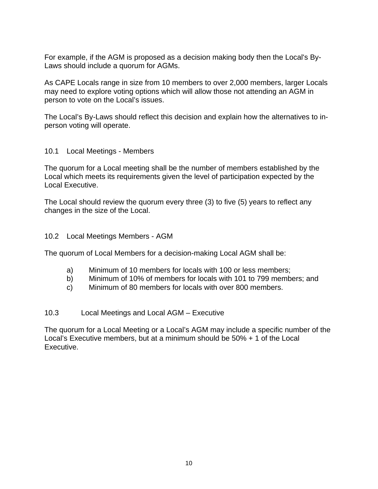For example, if the AGM is proposed as a decision making body then the Local's By-Laws should include a quorum for AGMs.

As CAPE Locals range in size from 10 members to over 2,000 members, larger Locals may need to explore voting options which will allow those not attending an AGM in person to vote on the Local's issues.

The Local's By-Laws should reflect this decision and explain how the alternatives to inperson voting will operate.

## 10.1 Local Meetings - Members

The quorum for a Local meeting shall be the number of members established by the Local which meets its requirements given the level of participation expected by the Local Executive.

The Local should review the quorum every three (3) to five (5) years to reflect any changes in the size of the Local.

## 10.2 Local Meetings Members - AGM

The quorum of Local Members for a decision-making Local AGM shall be:

- a) Minimum of 10 members for locals with 100 or less members;
- b) Minimum of 10% of members for locals with 101 to 799 members; and
- c) Minimum of 80 members for locals with over 800 members.

## 10.3 Local Meetings and Local AGM – Executive

The quorum for a Local Meeting or a Local's AGM may include a specific number of the Local's Executive members, but at a minimum should be 50% + 1 of the Local Executive.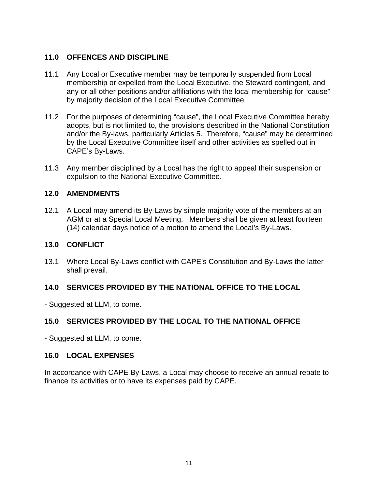## **11.0 OFFENCES AND DISCIPLINE**

- 11.1 Any Local or Executive member may be temporarily suspended from Local membership or expelled from the Local Executive, the Steward contingent, and any or all other positions and/or affiliations with the local membership for "cause" by majority decision of the Local Executive Committee.
- 11.2 For the purposes of determining "cause", the Local Executive Committee hereby adopts, but is not limited to, the provisions described in the National Constitution and/or the By-laws, particularly Articles 5. Therefore, "cause" may be determined by the Local Executive Committee itself and other activities as spelled out in CAPE's By-Laws.
- 11.3 Any member disciplined by a Local has the right to appeal their suspension or expulsion to the National Executive Committee.

## **12.0 AMENDMENTS**

12.1 A Local may amend its By-Laws by simple majority vote of the members at an AGM or at a Special Local Meeting. Members shall be given at least fourteen (14) calendar days notice of a motion to amend the Local's By-Laws.

## **13.0 CONFLICT**

13.1 Where Local By-Laws conflict with CAPE's Constitution and By-Laws the latter shall prevail.

## **14.0 SERVICES PROVIDED BY THE NATIONAL OFFICE TO THE LOCAL**

- Suggested at LLM, to come.

## **15.0 SERVICES PROVIDED BY THE LOCAL TO THE NATIONAL OFFICE**

- Suggested at LLM, to come.

#### **16.0 LOCAL EXPENSES**

In accordance with CAPE By-Laws, a Local may choose to receive an annual rebate to finance its activities or to have its expenses paid by CAPE.